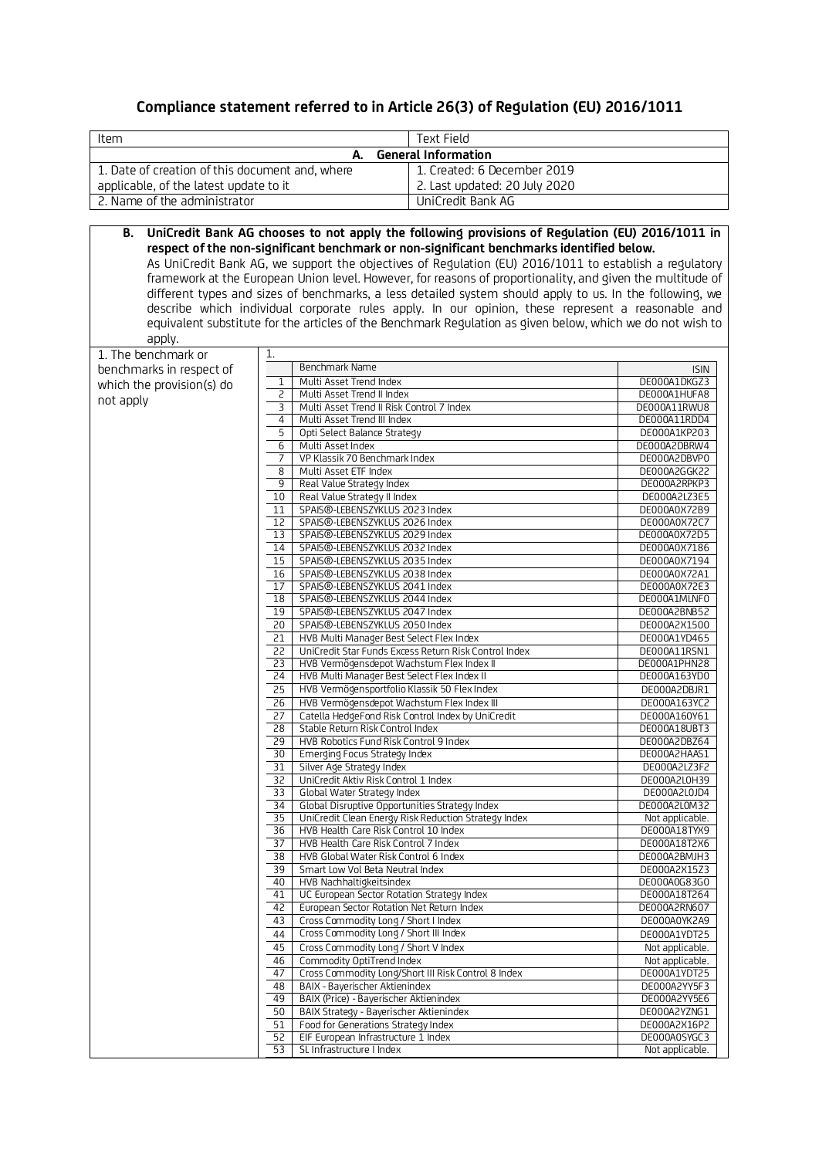# **Compliance statement referred to in Article 26(3) of Regulation (EU) 2016/1011**

| Item                                                                                                                                                                                                          | Text Field      |                                                                                                            |                                 |  |  |  |
|---------------------------------------------------------------------------------------------------------------------------------------------------------------------------------------------------------------|-----------------|------------------------------------------------------------------------------------------------------------|---------------------------------|--|--|--|
| <b>General Information</b><br>А.                                                                                                                                                                              |                 |                                                                                                            |                                 |  |  |  |
| 1. Date of creation of this document and, where                                                                                                                                                               |                 | 1. Created: 6 December 2019                                                                                |                                 |  |  |  |
| applicable, of the latest update to it                                                                                                                                                                        |                 | 2. Last updated: 20 July 2020                                                                              |                                 |  |  |  |
| 2. Name of the administrator                                                                                                                                                                                  |                 | UniCredit Bank AG                                                                                          |                                 |  |  |  |
|                                                                                                                                                                                                               |                 |                                                                                                            |                                 |  |  |  |
| В.                                                                                                                                                                                                            |                 | UniCredit Bank AG chooses to not apply the following provisions of Regulation (EU) 2016/1011 in            |                                 |  |  |  |
| respect of the non-significant benchmark or non-significant benchmarks identified below.                                                                                                                      |                 |                                                                                                            |                                 |  |  |  |
| As UniCredit Bank AG, we support the objectives of Regulation (EU) 2016/1011 to establish a regulatory                                                                                                        |                 |                                                                                                            |                                 |  |  |  |
| framework at the European Union level. However, for reasons of proportionality, and given the multitude of                                                                                                    |                 |                                                                                                            |                                 |  |  |  |
| different types and sizes of benchmarks, a less detailed system should apply to us. In the following, we<br>describe which individual corporate rules apply. In our opinion, these represent a reasonable and |                 |                                                                                                            |                                 |  |  |  |
|                                                                                                                                                                                                               |                 | equivalent substitute for the articles of the Benchmark Regulation as given below, which we do not wish to |                                 |  |  |  |
| apply.                                                                                                                                                                                                        |                 |                                                                                                            |                                 |  |  |  |
| 1. The benchmark or                                                                                                                                                                                           | 1.              |                                                                                                            |                                 |  |  |  |
| benchmarks in respect of                                                                                                                                                                                      |                 | Benchmark Name                                                                                             | <b>ISIN</b>                     |  |  |  |
| which the provision(s) do                                                                                                                                                                                     | 1<br>2          | Multi Asset Trend Index<br>Multi Asset Trend II Index                                                      | DE000A1DKGZ3<br>DE000A1HUFA8    |  |  |  |
| not apply                                                                                                                                                                                                     | 3               | Multi Asset Trend II Risk Control 7 Index                                                                  | DE000A11RWU8                    |  |  |  |
|                                                                                                                                                                                                               | 4               | Multi Asset Trend III Index                                                                                | DE000A11RDD4                    |  |  |  |
|                                                                                                                                                                                                               | 5               | Opti Select Balance Strategy                                                                               | DE000A1KP203                    |  |  |  |
|                                                                                                                                                                                                               | 6<br>7          | Multi Asset Index<br>VP Klassik 70 Benchmark Index                                                         | DE000A2DBRW4<br>DE000A2DBVP0    |  |  |  |
|                                                                                                                                                                                                               | 8               | Multi Asset ETF Index                                                                                      | DE000A2GGK22                    |  |  |  |
|                                                                                                                                                                                                               | 9               | Real Value Strategy Index                                                                                  | DE000A2RPKP3                    |  |  |  |
|                                                                                                                                                                                                               | 10              | Real Value Strategy II Index                                                                               | DE000A2LZ3E5                    |  |  |  |
|                                                                                                                                                                                                               | 11<br>12        | SPAIS®-LEBENSZYKLUS 2023 Index<br>SPAIS®-LEBENSZYKLUS 2026 Index                                           | DE000A0X72B9<br>DE000A0X72C7    |  |  |  |
|                                                                                                                                                                                                               | 13              | SPAIS®-LEBENSZYKLUS 2029 Index                                                                             | DE000A0X72D5                    |  |  |  |
|                                                                                                                                                                                                               | 14              | SPAIS®-LEBENSZYKLUS 2032 Index                                                                             | DE000A0X7186                    |  |  |  |
|                                                                                                                                                                                                               | 15              | SPAIS®-LEBENSZYKLUS 2035 Index                                                                             | DE000A0X7194                    |  |  |  |
|                                                                                                                                                                                                               | 16<br>17        | SPAIS®-LEBENSZYKLUS 2038 Index<br>SPAIS®-LEBENSZYKLUS 2041 Index                                           | DE000A0X72A1<br>DE000A0X72E3    |  |  |  |
|                                                                                                                                                                                                               | 18              | SPAIS®-LEBENSZYKLUS 2044 Index                                                                             | DE000A1MLNF0                    |  |  |  |
|                                                                                                                                                                                                               | 19              | SPAIS®-LEBENSZYKLUS 2047 Index                                                                             | DE000A2BNB52                    |  |  |  |
|                                                                                                                                                                                                               | 20              | SPAIS®-LEBENSZYKLUS 2050 Index<br>HVB Multi Manager Best Select Flex Index                                 | DE000A2X1500<br>DE000A1YD465    |  |  |  |
|                                                                                                                                                                                                               | 21<br>22        | UniCredit Star Funds Excess Return Risk Control Index                                                      | DE000A11RSN1                    |  |  |  |
|                                                                                                                                                                                                               | 23              | HVB Vermögensdepot Wachstum Flex Index II                                                                  | DE000A1PHN28                    |  |  |  |
|                                                                                                                                                                                                               | 24              | HVB Multi Manager Best Select Flex Index II                                                                | DE000A163YD0                    |  |  |  |
|                                                                                                                                                                                                               | 25<br>26        | HVB Vermögensportfolio Klassik 50 Flex Index<br>HVB Vermögensdepot Wachstum Flex Index III                 | DE000A2DBJR1<br>DE000A163YC2    |  |  |  |
|                                                                                                                                                                                                               | 27              | Catella HedgeFond Risk Control Index by UniCredit                                                          | DE000A160Y61                    |  |  |  |
|                                                                                                                                                                                                               | 28              | Stable Return Risk Control Index                                                                           | DE000A18UBT3                    |  |  |  |
|                                                                                                                                                                                                               | $\overline{29}$ | HVB Robotics Fund Risk Control 9 Index                                                                     | DE000A2DBZ64                    |  |  |  |
|                                                                                                                                                                                                               | 30<br>31        | Emerging Focus Strategy Index<br>Silver Age Strategy Index                                                 | DE000A2HAAS1<br>DE000A2LZ3F2    |  |  |  |
|                                                                                                                                                                                                               | 32              | UniCredit Aktiv Risk Control 1 Index                                                                       | DE000A2L0H39                    |  |  |  |
|                                                                                                                                                                                                               | 33              | Global Water Strategy Index                                                                                | DE000A2L0JD4                    |  |  |  |
|                                                                                                                                                                                                               | 34<br>35        | Global Disruptive Opportunities Strategy Index<br>UniCredit Clean Energy Risk Reduction Strategy Index     | DE000A2L0M32<br>Not applicable. |  |  |  |
|                                                                                                                                                                                                               | 36              | HVB Health Care Risk Control 10 Index                                                                      | DE000A18TYX9                    |  |  |  |
|                                                                                                                                                                                                               | 37              | HVB Health Care Risk Control 7 Index                                                                       | DE000A18T2X6                    |  |  |  |
|                                                                                                                                                                                                               | 38              | HVB Global Water Risk Control 6 Index                                                                      | DE000A2BMJH3<br>DE000A2X15Z3    |  |  |  |
|                                                                                                                                                                                                               | 39<br>40        | Smart Low Vol Beta Neutral Index<br>HVB Nachhaltigkeitsindex                                               | DE000A0G83G0                    |  |  |  |
|                                                                                                                                                                                                               | 41              | UC European Sector Rotation Strategy Index                                                                 | DE000A18T264                    |  |  |  |
|                                                                                                                                                                                                               | 42              | European Sector Rotation Net Return Index                                                                  | DE000A2RN607                    |  |  |  |
|                                                                                                                                                                                                               | 43              | Cross Commodity Long / Short I Index<br>Cross Commodity Long / Short III Index                             | DE000A0YK2A9                    |  |  |  |
|                                                                                                                                                                                                               | 44<br>45        | Cross Commodity Long / Short V Index                                                                       | DE000A1YDT25<br>Not applicable. |  |  |  |
|                                                                                                                                                                                                               | 46              | Commodity OptiTrend Index                                                                                  | Not applicable.                 |  |  |  |
|                                                                                                                                                                                                               | 47              | Cross Commodity Long/Short III Risk Control 8 Index                                                        | DE000A1YDT25                    |  |  |  |
|                                                                                                                                                                                                               | 48<br>49        | BAIX - Bayerischer Aktienindex<br>BAIX (Price) - Bayerischer Aktienindex                                   | DE000A2YY5F3<br>DE000A2YY5E6    |  |  |  |
|                                                                                                                                                                                                               | 50              | BAIX Strategy - Bayerischer Aktienindex                                                                    | DE000A2YZNG1                    |  |  |  |
|                                                                                                                                                                                                               | 51              | Food for Generations Strategy Index                                                                        | DE000A2X16P2                    |  |  |  |
|                                                                                                                                                                                                               | 52<br>53        | EIF European Infrastructure 1 Index<br>SL Infrastructure I Index                                           | DE000A0SYGC3<br>Not applicable. |  |  |  |
|                                                                                                                                                                                                               |                 |                                                                                                            |                                 |  |  |  |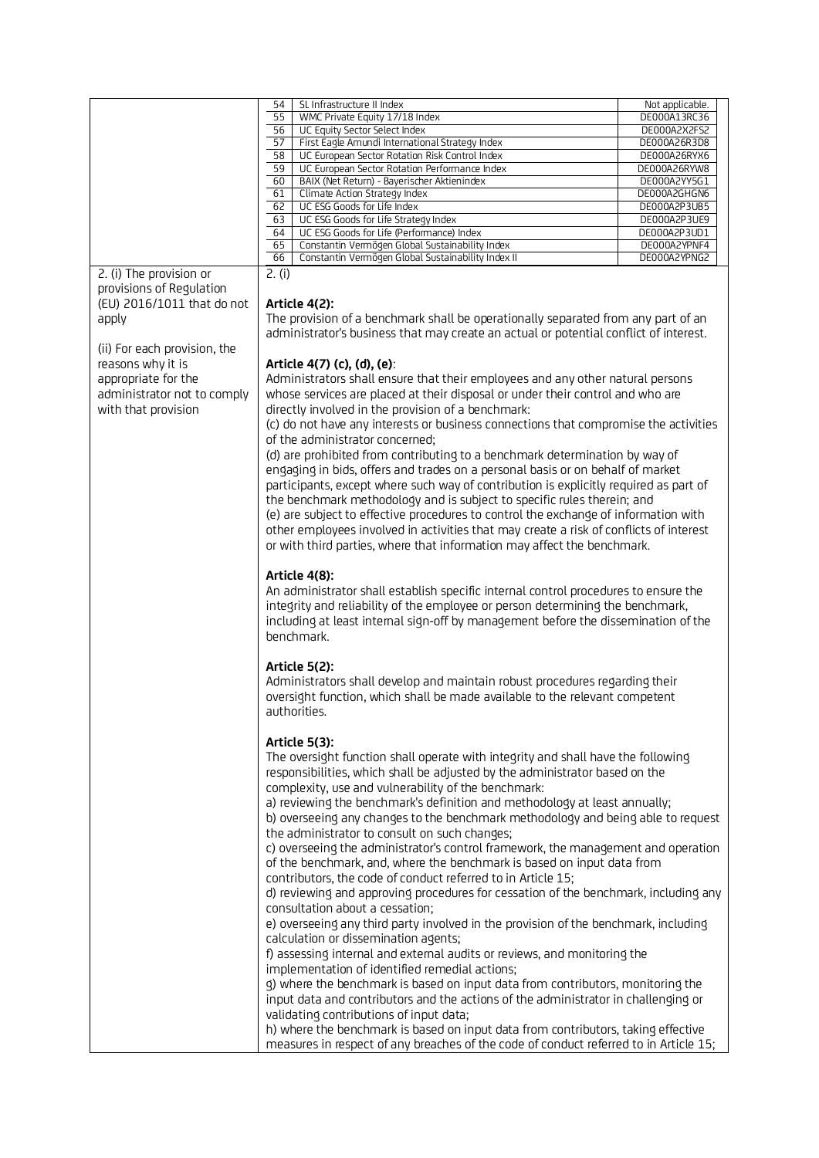| 54<br>SL Infrastructure II Index<br>Not applicable.<br>55<br>WMC Private Equity 17/18 Index<br>DE000A13RC36<br>56<br>DE000A2X2FS2<br>UC Equity Sector Select Index<br>57<br>First Eagle Amundi International Strategy Index<br>DE000A26R3D8<br>58<br>UC European Sector Rotation Risk Control Index<br>DE000A26RYX6<br>59<br>UC European Sector Rotation Performance Index<br>DE000A26RYW8<br>60<br>BAIX (Net Return) - Bayerischer Aktienindex<br>DE000A2YY5G1<br>61<br>DE000A2GHGN6<br>Climate Action Strategy Index<br>62<br>UC ESG Goods for Life Index<br>DE000A2P3UB5<br>DE000A2P3UE9<br>63<br>UC ESG Goods for Life Strategy Index<br>UC ESG Goods for Life (Performance) Index<br>DE000A2P3UD1<br>64<br>65<br>DE000A2YPNF4<br>Constantin Vermögen Global Sustainability Index<br>DE000A2YPNG2<br>66<br>Constantin Vermögen Global Sustainability Index II<br>2. (i) The provision or<br>2. (i)<br>provisions of Requlation<br>(EU) 2016/1011 that do not<br>Article 4(2):<br>The provision of a benchmark shall be operationally separated from any part of an<br>apply<br>administrator's business that may create an actual or potential conflict of interest.<br>(ii) For each provision, the<br>reasons why it is<br>Article 4(7) (c), (d), (e):<br>appropriate for the<br>Administrators shall ensure that their employees and any other natural persons<br>administrator not to comply<br>whose services are placed at their disposal or under their control and who are<br>with that provision<br>directly involved in the provision of a benchmark:<br>(c) do not have any interests or business connections that compromise the activities<br>of the administrator concerned;<br>(d) are prohibited from contributing to a benchmark determination by way of<br>engaging in bids, offers and trades on a personal basis or on behalf of market<br>participants, except where such way of contribution is explicitly required as part of<br>the benchmark methodology and is subject to specific rules therein; and<br>(e) are subject to effective procedures to control the exchange of information with<br>other employees involved in activities that may create a risk of conflicts of interest<br>or with third parties, where that information may affect the benchmark.<br>Article 4(8):<br>An administrator shall establish specific internal control procedures to ensure the<br>integrity and reliability of the employee or person determining the benchmark,<br>including at least intemal sign-off by management before the dissemination of the<br>benchmark.<br>Article 5(2):<br>Administrators shall develop and maintain robust procedures regarding their<br>oversight function, which shall be made available to the relevant competent<br>authorities.<br>Article 5(3):<br>The oversight function shall operate with integrity and shall have the following<br>responsibilities, which shall be adjusted by the administrator based on the<br>complexity, use and vulnerability of the benchmark:<br>a) reviewing the benchmark's definition and methodology at least annually;<br>b) overseeing any changes to the benchmark methodology and being able to request<br>the administrator to consult on such changes;<br>c) overseeing the administrator's control framework, the management and operation<br>of the benchmark, and, where the benchmark is based on input data from<br>contributors, the code of conduct referred to in Article 15;<br>d) reviewing and approving procedures for cessation of the benchmark, including any<br>consultation about a cessation;<br>e) overseeing any third party involved in the provision of the benchmark, including<br>calculation or dissemination agents;<br>f) assessing internal and external audits or reviews, and monitoring the<br>implementation of identified remedial actions;<br>g) where the benchmark is based on input data from contributors, monitoring the<br>input data and contributors and the actions of the administrator in challenging or |                                         |  |
|----------------------------------------------------------------------------------------------------------------------------------------------------------------------------------------------------------------------------------------------------------------------------------------------------------------------------------------------------------------------------------------------------------------------------------------------------------------------------------------------------------------------------------------------------------------------------------------------------------------------------------------------------------------------------------------------------------------------------------------------------------------------------------------------------------------------------------------------------------------------------------------------------------------------------------------------------------------------------------------------------------------------------------------------------------------------------------------------------------------------------------------------------------------------------------------------------------------------------------------------------------------------------------------------------------------------------------------------------------------------------------------------------------------------------------------------------------------------------------------------------------------------------------------------------------------------------------------------------------------------------------------------------------------------------------------------------------------------------------------------------------------------------------------------------------------------------------------------------------------------------------------------------------------------------------------------------------------------------------------------------------------------------------------------------------------------------------------------------------------------------------------------------------------------------------------------------------------------------------------------------------------------------------------------------------------------------------------------------------------------------------------------------------------------------------------------------------------------------------------------------------------------------------------------------------------------------------------------------------------------------------------------------------------------------------------------------------------------------------------------------------------------------------------------------------------------------------------------------------------------------------------------------------------------------------------------------------------------------------------------------------------------------------------------------------------------------------------------------------------------------------------------------------------------------------------------------------------------------------------------------------------------------------------------------------------------------------------------------------------------------------------------------------------------------------------------------------------------------------------------------------------------------------------------------------------------------------------------------------------------------------------------------------------------------------------------------------------------------------------------------------------------------------------------------------------------------------------------------------------------------------------------------------------------------------------------------------------------------------------------------------------------------------------------------------|-----------------------------------------|--|
|                                                                                                                                                                                                                                                                                                                                                                                                                                                                                                                                                                                                                                                                                                                                                                                                                                                                                                                                                                                                                                                                                                                                                                                                                                                                                                                                                                                                                                                                                                                                                                                                                                                                                                                                                                                                                                                                                                                                                                                                                                                                                                                                                                                                                                                                                                                                                                                                                                                                                                                                                                                                                                                                                                                                                                                                                                                                                                                                                                                                                                                                                                                                                                                                                                                                                                                                                                                                                                                                                                                                                                                                                                                                                                                                                                                                                                                                                                                                                                                                                                                          |                                         |  |
|                                                                                                                                                                                                                                                                                                                                                                                                                                                                                                                                                                                                                                                                                                                                                                                                                                                                                                                                                                                                                                                                                                                                                                                                                                                                                                                                                                                                                                                                                                                                                                                                                                                                                                                                                                                                                                                                                                                                                                                                                                                                                                                                                                                                                                                                                                                                                                                                                                                                                                                                                                                                                                                                                                                                                                                                                                                                                                                                                                                                                                                                                                                                                                                                                                                                                                                                                                                                                                                                                                                                                                                                                                                                                                                                                                                                                                                                                                                                                                                                                                                          |                                         |  |
|                                                                                                                                                                                                                                                                                                                                                                                                                                                                                                                                                                                                                                                                                                                                                                                                                                                                                                                                                                                                                                                                                                                                                                                                                                                                                                                                                                                                                                                                                                                                                                                                                                                                                                                                                                                                                                                                                                                                                                                                                                                                                                                                                                                                                                                                                                                                                                                                                                                                                                                                                                                                                                                                                                                                                                                                                                                                                                                                                                                                                                                                                                                                                                                                                                                                                                                                                                                                                                                                                                                                                                                                                                                                                                                                                                                                                                                                                                                                                                                                                                                          |                                         |  |
|                                                                                                                                                                                                                                                                                                                                                                                                                                                                                                                                                                                                                                                                                                                                                                                                                                                                                                                                                                                                                                                                                                                                                                                                                                                                                                                                                                                                                                                                                                                                                                                                                                                                                                                                                                                                                                                                                                                                                                                                                                                                                                                                                                                                                                                                                                                                                                                                                                                                                                                                                                                                                                                                                                                                                                                                                                                                                                                                                                                                                                                                                                                                                                                                                                                                                                                                                                                                                                                                                                                                                                                                                                                                                                                                                                                                                                                                                                                                                                                                                                                          |                                         |  |
|                                                                                                                                                                                                                                                                                                                                                                                                                                                                                                                                                                                                                                                                                                                                                                                                                                                                                                                                                                                                                                                                                                                                                                                                                                                                                                                                                                                                                                                                                                                                                                                                                                                                                                                                                                                                                                                                                                                                                                                                                                                                                                                                                                                                                                                                                                                                                                                                                                                                                                                                                                                                                                                                                                                                                                                                                                                                                                                                                                                                                                                                                                                                                                                                                                                                                                                                                                                                                                                                                                                                                                                                                                                                                                                                                                                                                                                                                                                                                                                                                                                          |                                         |  |
|                                                                                                                                                                                                                                                                                                                                                                                                                                                                                                                                                                                                                                                                                                                                                                                                                                                                                                                                                                                                                                                                                                                                                                                                                                                                                                                                                                                                                                                                                                                                                                                                                                                                                                                                                                                                                                                                                                                                                                                                                                                                                                                                                                                                                                                                                                                                                                                                                                                                                                                                                                                                                                                                                                                                                                                                                                                                                                                                                                                                                                                                                                                                                                                                                                                                                                                                                                                                                                                                                                                                                                                                                                                                                                                                                                                                                                                                                                                                                                                                                                                          |                                         |  |
|                                                                                                                                                                                                                                                                                                                                                                                                                                                                                                                                                                                                                                                                                                                                                                                                                                                                                                                                                                                                                                                                                                                                                                                                                                                                                                                                                                                                                                                                                                                                                                                                                                                                                                                                                                                                                                                                                                                                                                                                                                                                                                                                                                                                                                                                                                                                                                                                                                                                                                                                                                                                                                                                                                                                                                                                                                                                                                                                                                                                                                                                                                                                                                                                                                                                                                                                                                                                                                                                                                                                                                                                                                                                                                                                                                                                                                                                                                                                                                                                                                                          |                                         |  |
|                                                                                                                                                                                                                                                                                                                                                                                                                                                                                                                                                                                                                                                                                                                                                                                                                                                                                                                                                                                                                                                                                                                                                                                                                                                                                                                                                                                                                                                                                                                                                                                                                                                                                                                                                                                                                                                                                                                                                                                                                                                                                                                                                                                                                                                                                                                                                                                                                                                                                                                                                                                                                                                                                                                                                                                                                                                                                                                                                                                                                                                                                                                                                                                                                                                                                                                                                                                                                                                                                                                                                                                                                                                                                                                                                                                                                                                                                                                                                                                                                                                          |                                         |  |
|                                                                                                                                                                                                                                                                                                                                                                                                                                                                                                                                                                                                                                                                                                                                                                                                                                                                                                                                                                                                                                                                                                                                                                                                                                                                                                                                                                                                                                                                                                                                                                                                                                                                                                                                                                                                                                                                                                                                                                                                                                                                                                                                                                                                                                                                                                                                                                                                                                                                                                                                                                                                                                                                                                                                                                                                                                                                                                                                                                                                                                                                                                                                                                                                                                                                                                                                                                                                                                                                                                                                                                                                                                                                                                                                                                                                                                                                                                                                                                                                                                                          |                                         |  |
|                                                                                                                                                                                                                                                                                                                                                                                                                                                                                                                                                                                                                                                                                                                                                                                                                                                                                                                                                                                                                                                                                                                                                                                                                                                                                                                                                                                                                                                                                                                                                                                                                                                                                                                                                                                                                                                                                                                                                                                                                                                                                                                                                                                                                                                                                                                                                                                                                                                                                                                                                                                                                                                                                                                                                                                                                                                                                                                                                                                                                                                                                                                                                                                                                                                                                                                                                                                                                                                                                                                                                                                                                                                                                                                                                                                                                                                                                                                                                                                                                                                          |                                         |  |
|                                                                                                                                                                                                                                                                                                                                                                                                                                                                                                                                                                                                                                                                                                                                                                                                                                                                                                                                                                                                                                                                                                                                                                                                                                                                                                                                                                                                                                                                                                                                                                                                                                                                                                                                                                                                                                                                                                                                                                                                                                                                                                                                                                                                                                                                                                                                                                                                                                                                                                                                                                                                                                                                                                                                                                                                                                                                                                                                                                                                                                                                                                                                                                                                                                                                                                                                                                                                                                                                                                                                                                                                                                                                                                                                                                                                                                                                                                                                                                                                                                                          |                                         |  |
|                                                                                                                                                                                                                                                                                                                                                                                                                                                                                                                                                                                                                                                                                                                                                                                                                                                                                                                                                                                                                                                                                                                                                                                                                                                                                                                                                                                                                                                                                                                                                                                                                                                                                                                                                                                                                                                                                                                                                                                                                                                                                                                                                                                                                                                                                                                                                                                                                                                                                                                                                                                                                                                                                                                                                                                                                                                                                                                                                                                                                                                                                                                                                                                                                                                                                                                                                                                                                                                                                                                                                                                                                                                                                                                                                                                                                                                                                                                                                                                                                                                          |                                         |  |
|                                                                                                                                                                                                                                                                                                                                                                                                                                                                                                                                                                                                                                                                                                                                                                                                                                                                                                                                                                                                                                                                                                                                                                                                                                                                                                                                                                                                                                                                                                                                                                                                                                                                                                                                                                                                                                                                                                                                                                                                                                                                                                                                                                                                                                                                                                                                                                                                                                                                                                                                                                                                                                                                                                                                                                                                                                                                                                                                                                                                                                                                                                                                                                                                                                                                                                                                                                                                                                                                                                                                                                                                                                                                                                                                                                                                                                                                                                                                                                                                                                                          |                                         |  |
|                                                                                                                                                                                                                                                                                                                                                                                                                                                                                                                                                                                                                                                                                                                                                                                                                                                                                                                                                                                                                                                                                                                                                                                                                                                                                                                                                                                                                                                                                                                                                                                                                                                                                                                                                                                                                                                                                                                                                                                                                                                                                                                                                                                                                                                                                                                                                                                                                                                                                                                                                                                                                                                                                                                                                                                                                                                                                                                                                                                                                                                                                                                                                                                                                                                                                                                                                                                                                                                                                                                                                                                                                                                                                                                                                                                                                                                                                                                                                                                                                                                          |                                         |  |
|                                                                                                                                                                                                                                                                                                                                                                                                                                                                                                                                                                                                                                                                                                                                                                                                                                                                                                                                                                                                                                                                                                                                                                                                                                                                                                                                                                                                                                                                                                                                                                                                                                                                                                                                                                                                                                                                                                                                                                                                                                                                                                                                                                                                                                                                                                                                                                                                                                                                                                                                                                                                                                                                                                                                                                                                                                                                                                                                                                                                                                                                                                                                                                                                                                                                                                                                                                                                                                                                                                                                                                                                                                                                                                                                                                                                                                                                                                                                                                                                                                                          |                                         |  |
|                                                                                                                                                                                                                                                                                                                                                                                                                                                                                                                                                                                                                                                                                                                                                                                                                                                                                                                                                                                                                                                                                                                                                                                                                                                                                                                                                                                                                                                                                                                                                                                                                                                                                                                                                                                                                                                                                                                                                                                                                                                                                                                                                                                                                                                                                                                                                                                                                                                                                                                                                                                                                                                                                                                                                                                                                                                                                                                                                                                                                                                                                                                                                                                                                                                                                                                                                                                                                                                                                                                                                                                                                                                                                                                                                                                                                                                                                                                                                                                                                                                          |                                         |  |
|                                                                                                                                                                                                                                                                                                                                                                                                                                                                                                                                                                                                                                                                                                                                                                                                                                                                                                                                                                                                                                                                                                                                                                                                                                                                                                                                                                                                                                                                                                                                                                                                                                                                                                                                                                                                                                                                                                                                                                                                                                                                                                                                                                                                                                                                                                                                                                                                                                                                                                                                                                                                                                                                                                                                                                                                                                                                                                                                                                                                                                                                                                                                                                                                                                                                                                                                                                                                                                                                                                                                                                                                                                                                                                                                                                                                                                                                                                                                                                                                                                                          |                                         |  |
| h) where the benchmark is based on input data from contributors, taking effective                                                                                                                                                                                                                                                                                                                                                                                                                                                                                                                                                                                                                                                                                                                                                                                                                                                                                                                                                                                                                                                                                                                                                                                                                                                                                                                                                                                                                                                                                                                                                                                                                                                                                                                                                                                                                                                                                                                                                                                                                                                                                                                                                                                                                                                                                                                                                                                                                                                                                                                                                                                                                                                                                                                                                                                                                                                                                                                                                                                                                                                                                                                                                                                                                                                                                                                                                                                                                                                                                                                                                                                                                                                                                                                                                                                                                                                                                                                                                                        | validating contributions of input data; |  |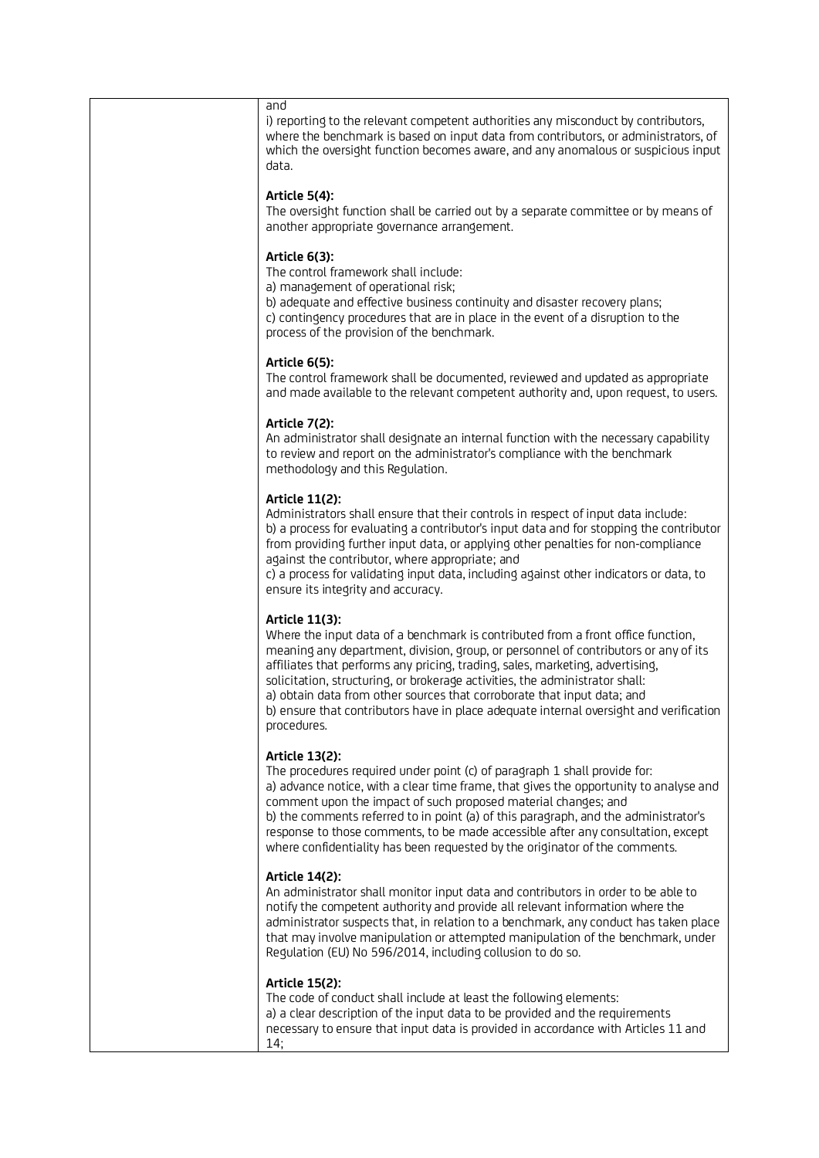#### and

i) reporting to the relevant competent authorities any misconduct by contributors, where the benchmark is based on input data from contributors, or administrators, of which the oversight function becomes aware, and any anomalous or suspicious input data.

### **Article 5(4):**

The oversight function shall be carried out by a separate committee or by means of another appropriate governance arrangement.

# **Article 6(3):**

The control framework shall include:

a) management of operational risk;

b) adequate and effective business continuity and disaster recovery plans; c) contingency procedures that are in place in the event of a disruption to the process of the provision of the benchmark.

#### **Article 6(5):**

The control framework shall be documented, reviewed and updated as appropriate and made available to the relevant competent authority and, upon request, to users.

# **Article 7(2):**

An administrator shall designate an internal function with the necessary capability to review and report on the administrator's compliance with the benchmark methodology and this Regulation.

# **Article 11(2):**

Administrators shall ensure that their controls in respect of input data include: b) a process for evaluating a contributor's input data and for stopping the contributor from providing further input data, or applying other penalties for non-compliance against the contributor, where appropriate; and

c) a process for validating input data, including against other indicators or data, to ensure its integrity and accuracy.

# **Article 11(3):**

Where the input data of a benchmark is contributed from a front office function. meaning any department, division, group, or personnel of contributors or any of its affiliates that performs any pricing, trading, sales, marketing, advertising, solicitation, structuring, or brokerage activities, the administrator shall: a) obtain data from other sources that corroborate that input data; and b) ensure that contributors have in place adequate internal oversight and verification procedures.

#### **Article 13(2):**

The procedures required under point (c) of paragraph 1 shall provide for: a) advance notice, with a clear time frame, that gives the opportunity to analyse and comment upon the impact of such proposed material changes; and b) the comments referred to in point (a) of this paragraph, and the administrator's response to those comments, to be made accessible after any consultation, except where confidentiality has been requested by the originator of the comments.

# **Article 14(2):**

An administrator shall monitor input data and contributors in order to be able to notify the competent authority and provide all relevant information where the administrator suspects that, in relation to a benchmark, any conduct has taken place that may involve manipulation or attempted manipulation of the benchmark, under Regulation (EU) No 596/2014, including collusion to do so.

#### **Article 15(2):**

The code of conduct shall include at least the following elements: a) a clear description of the input data to be provided and the requirements necessary to ensure that input data is provided in accordance with Articles 11 and 14;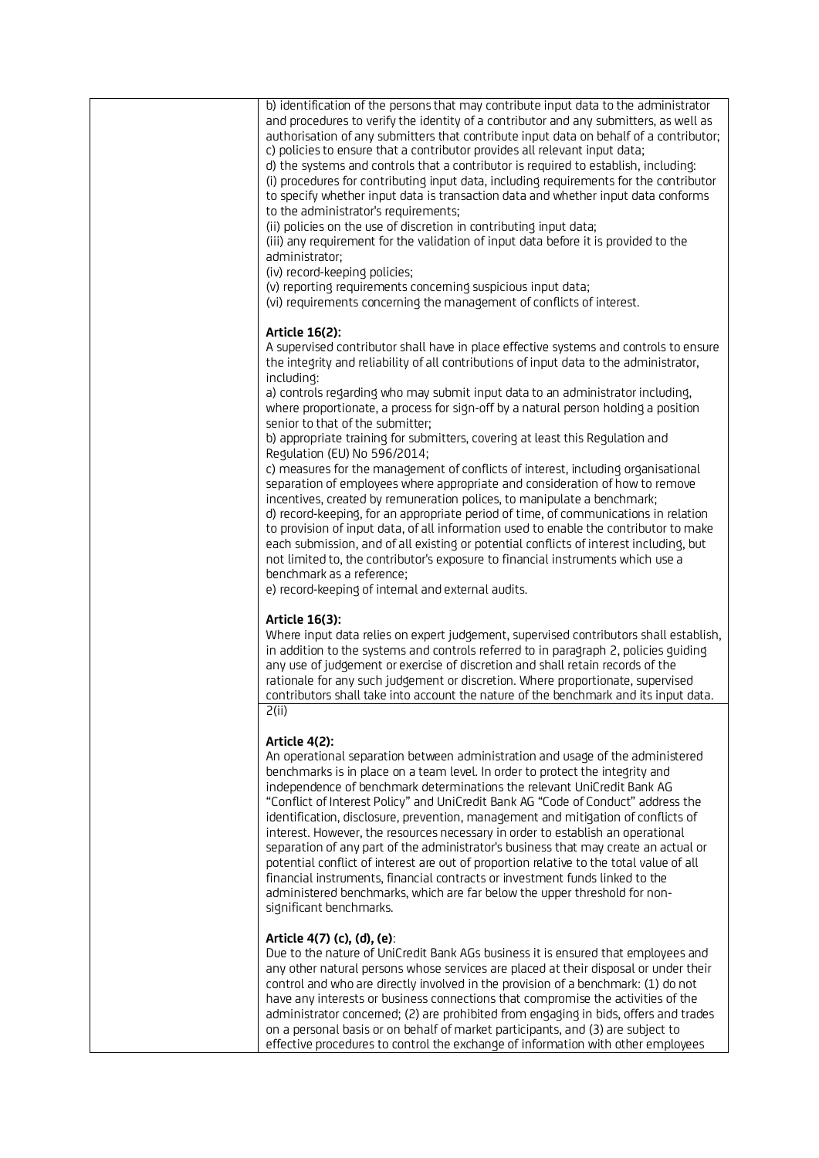| b) identification of the persons that may contribute input data to the administrator<br>and procedures to verify the identity of a contributor and any submitters, as well as<br>authorisation of any submitters that contribute input data on behalf of a contributor;<br>c) policies to ensure that a contributor provides all relevant input data;<br>d) the systems and controls that a contributor is required to establish, including:<br>(i) procedures for contributing input data, including requirements for the contributor<br>to specify whether input data is transaction data and whether input data conforms<br>to the administrator's requirements;<br>(ii) policies on the use of discretion in contributing input data;<br>(iii) any requirement for the validation of input data before it is provided to the<br>administrator;<br>(iv) record-keeping policies;<br>(v) reporting requirements conceming suspicious input data;<br>(vi) requirements concerning the management of conflicts of interest.                                                                                                                                                            |
|----------------------------------------------------------------------------------------------------------------------------------------------------------------------------------------------------------------------------------------------------------------------------------------------------------------------------------------------------------------------------------------------------------------------------------------------------------------------------------------------------------------------------------------------------------------------------------------------------------------------------------------------------------------------------------------------------------------------------------------------------------------------------------------------------------------------------------------------------------------------------------------------------------------------------------------------------------------------------------------------------------------------------------------------------------------------------------------------------------------------------------------------------------------------------------------|
| Article 16(2):<br>A supervised contributor shall have in place effective systems and controls to ensure<br>the integrity and reliability of all contributions of input data to the administrator,<br>including:<br>a) controls regarding who may submit input data to an administrator including,<br>where proportionate, a process for sign-off by a natural person holding a position<br>senior to that of the submitter;<br>b) appropriate training for submitters, covering at least this Regulation and<br>Regulation (EU) No 596/2014;<br>c) measures for the management of conflicts of interest, including organisational<br>separation of employees where appropriate and consideration of how to remove<br>incentives, created by remuneration polices, to manipulate a benchmark;<br>d) record-keeping, for an appropriate period of time, of communications in relation<br>to provision of input data, of all information used to enable the contributor to make<br>each submission, and of all existing or potential conflicts of interest including, but<br>not limited to, the contributor's exposure to financial instruments which use a<br>benchmark as a reference; |
| e) record-keeping of internal and external audits.<br>Article 16(3):<br>Where input data relies on expert judgement, supervised contributors shall establish,<br>in addition to the systems and controls referred to in paragraph 2, policies guiding<br>any use of judgement or exercise of discretion and shall retain records of the<br>rationale for any such judgement or discretion. Where proportionate, supervised<br>contributors shall take into account the nature of the benchmark and its input data.<br>2(ii)                                                                                                                                                                                                                                                                                                                                                                                                                                                                                                                                                                                                                                                            |
| Article 4(2):<br>An operational separation between administration and usage of the administered<br>benchmarks is in place on a team level. In order to protect the integrity and<br>independence of benchmark determinations the relevant UniCredit Bank AG<br>"Conflict of Interest Policy" and UniCredit Bank AG "Code of Conduct" address the<br>identification, disclosure, prevention, management and mitigation of conflicts of<br>interest. However, the resources necessary in order to establish an operational<br>separation of any part of the administrator's business that may create an actual or<br>potential conflict of interest are out of proportion relative to the total value of all<br>financial instruments, financial contracts or investment funds linked to the<br>administered benchmarks, which are far below the upper threshold for non-<br>significant benchmarks.                                                                                                                                                                                                                                                                                     |
| Article 4(7) (c), (d), (e):<br>Due to the nature of UniCredit Bank AGs business it is ensured that employees and<br>any other natural persons whose services are placed at their disposal or under their<br>control and who are directly involved in the provision of a benchmark: (1) do not<br>have any interests or business connections that compromise the activities of the<br>administrator concemed; (2) are prohibited from engaging in bids, offers and trades                                                                                                                                                                                                                                                                                                                                                                                                                                                                                                                                                                                                                                                                                                               |

on a personal basis or on behalf of market participants, and (3) are subject to effective procedures to control the exchange of information with other employees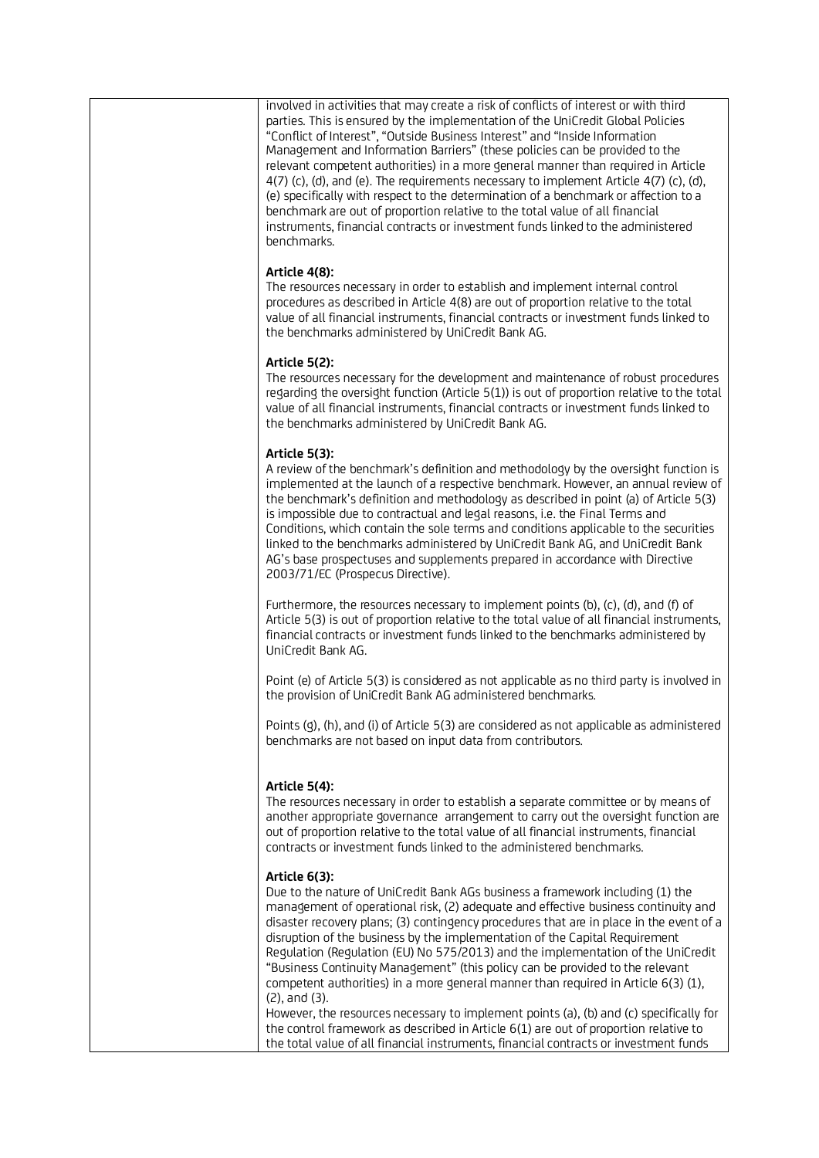involved in activities that may create a risk of conflicts of interest or with third parties. This is ensured by the implementation of the UniCredit Global Policies "Conflict of Interest", "Outside Business Interest" and "Inside Information Management and Information Barriers" (these policies can be provided to the relevant competent authorities) in a more general manner than required in Article 4(7) (c), (d), and (e). The requirements necessary to implement Article 4(7) (c), (d), (e) specifically with respect to the determination of a benchmark or affection to a benchmark are out of proportion relative to the total value of all financial instruments, financial contracts or investment funds linked to the administered benchmarks.

# **Article 4(8):**

The resources necessary in order to establish and implement internal control procedures as described in Article 4(8) are out of proportion relative to the total value of all financial instruments, financial contracts or investment funds linked to the benchmarks administered by UniCredit Bank AG.

# **Article 5(2):**

The resources necessary for the development and maintenance of robust procedures regarding the oversight function (Article 5(1)) is out of proportion relative to the total value of all financial instruments, financial contracts or investment funds linked to the benchmarks administered by UniCredit Bank AG.

# **Article 5(3):**

A review of the benchmark's definition and methodology by the oversight function is implemented at the launch of a respective benchmark. However, an annual review of the benchmark's definition and methodology as described in point (a) of Article 5(3) is impossible due to contractual and legal reasons, i.e. the Final Terms and Conditions, which contain the sole terms and conditions applicable to the securities linked to the benchmarks administered by UniCredit Bank AG, and UniCredit Bank AG's base prospectuses and supplements prepared in accordance with Directive 2003/71/EC (Prospecus Directive).

Furthermore, the resources necessary to implement points (b), (c), (d), and (f) of Article 5(3) is out of proportion relative to the total value of all financial instruments, financial contracts or investment funds linked to the benchmarks administered by UniCredit Bank AG.

Point (e) of Article 5(3) is considered as not applicable as no third party is involved in the provision of UniCredit Bank AG administered benchmarks.

Points (g), (h), and (i) of Article 5(3) are considered as not applicable as administered benchmarks are not based on input data from contributors.

# **Article 5(4):**

The resources necessary in order to establish a separate committee or by means of another appropriate governance arrangement to carry out the oversight function are out of proportion relative to the total value of all financial instruments, financial contracts or investment funds linked to the administered benchmarks.

# **Article 6(3):**

Due to the nature of UniCredit Bank AGs business a framework including (1) the management of operational risk, (2) adequate and effective business continuity and disaster recovery plans; (3) contingency procedures that are in place in the event of a disruption of the business by the implementation of the Capital Requirement Regulation (Regulation (EU) No 575/2013) and the implementation of the UniCredit "Business Continuity Management" (this policy can be provided to the relevant competent authorities) in a more general manner than required in Article 6(3) (1), (2), and (3).

However, the resources necessary to implement points (a), (b) and (c) specifically for the control framework as described in Article 6(1) are out of proportion relative to the total value of all financial instruments, financial contracts or investment funds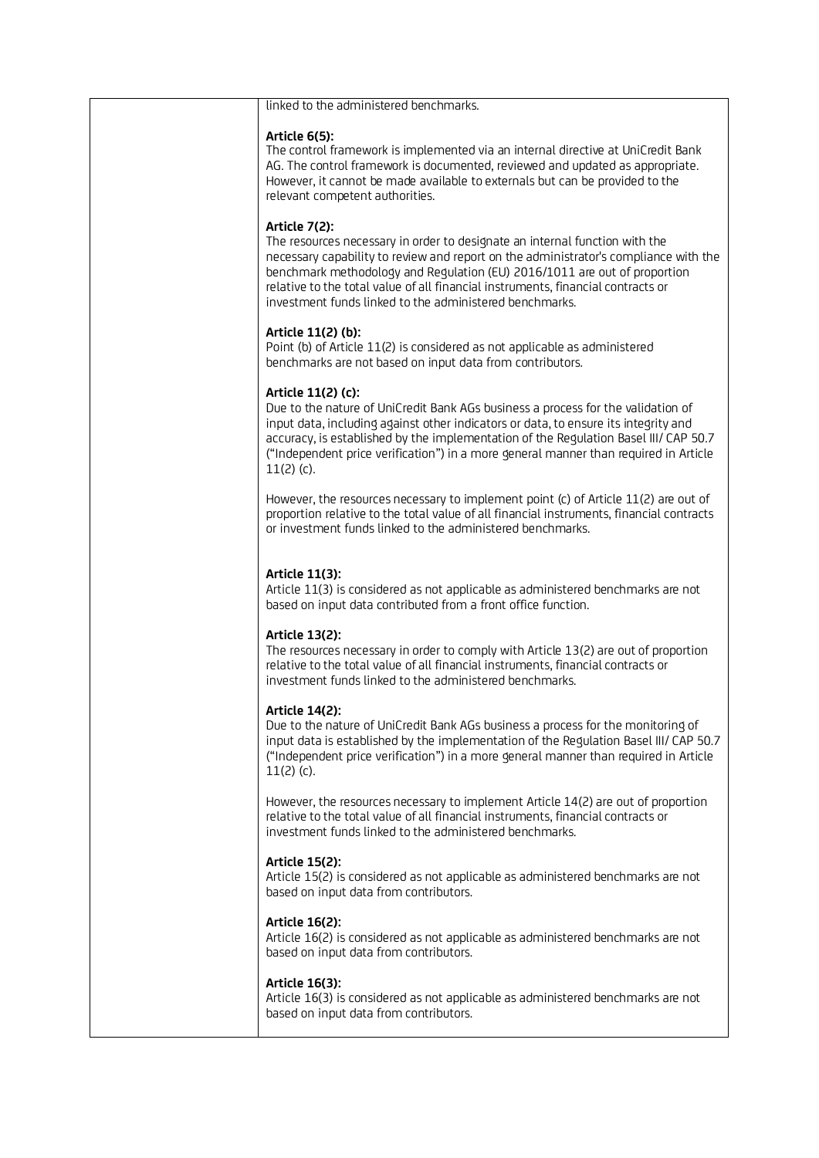| linked to the administered benchmarks.                                                                                                                                                                                                                                                                                                                                                                           |
|------------------------------------------------------------------------------------------------------------------------------------------------------------------------------------------------------------------------------------------------------------------------------------------------------------------------------------------------------------------------------------------------------------------|
| Article 6(5):<br>The control framework is implemented via an internal directive at UniCredit Bank<br>AG. The control framework is documented, reviewed and updated as appropriate.<br>However, it cannot be made available to externals but can be provided to the<br>relevant competent authorities.                                                                                                            |
| Article 7(2):<br>The resources necessary in order to designate an internal function with the<br>necessary capability to review and report on the administrator's compliance with the<br>benchmark methodology and Regulation (EU) 2016/1011 are out of proportion<br>relative to the total value of all financial instruments, financial contracts or<br>investment funds linked to the administered benchmarks. |
| Article 11(2) (b):<br>Point (b) of Article 11(2) is considered as not applicable as administered<br>benchmarks are not based on input data from contributors.                                                                                                                                                                                                                                                    |
| Article 11(2) (c):<br>Due to the nature of UniCredit Bank AGs business a process for the validation of<br>input data, including against other indicators or data, to ensure its integrity and<br>accuracy, is established by the implementation of the Regulation Basel III/ CAP 50.7<br>("Independent price verification") in a more general manner than required in Article<br>$11(2)$ (c).                    |
| However, the resources necessary to implement point (c) of Article 11(2) are out of<br>proportion relative to the total value of all financial instruments, financial contracts<br>or investment funds linked to the administered benchmarks.                                                                                                                                                                    |
| Article 11(3):<br>Article 11(3) is considered as not applicable as administered benchmarks are not<br>based on input data contributed from a front office function.                                                                                                                                                                                                                                              |
| Article 13(2):<br>The resources necessary in order to comply with Article 13(2) are out of proportion<br>relative to the total value of all financial instruments, financial contracts or<br>investment funds linked to the administered benchmarks.                                                                                                                                                             |
| Article 14(2):<br>Due to the nature of UniCredit Bank AGs business a process for the monitoring of<br>input data is established by the implementation of the Regulation Basel III/ CAP 50.7<br>("Independent price verification") in a more general manner than required in Article<br>$11(2)$ (c).                                                                                                              |
| However, the resources necessary to implement Article 14(2) are out of proportion<br>relative to the total value of all financial instruments, financial contracts or<br>investment funds linked to the administered benchmarks.                                                                                                                                                                                 |
| Article 15(2):<br>Article 15(2) is considered as not applicable as administered benchmarks are not<br>based on input data from contributors.                                                                                                                                                                                                                                                                     |
| Article 16(2):<br>Article 16(2) is considered as not applicable as administered benchmarks are not<br>based on input data from contributors.                                                                                                                                                                                                                                                                     |
| Article 16(3):<br>Article 16(3) is considered as not applicable as administered benchmarks are not<br>based on input data from contributors.                                                                                                                                                                                                                                                                     |
|                                                                                                                                                                                                                                                                                                                                                                                                                  |